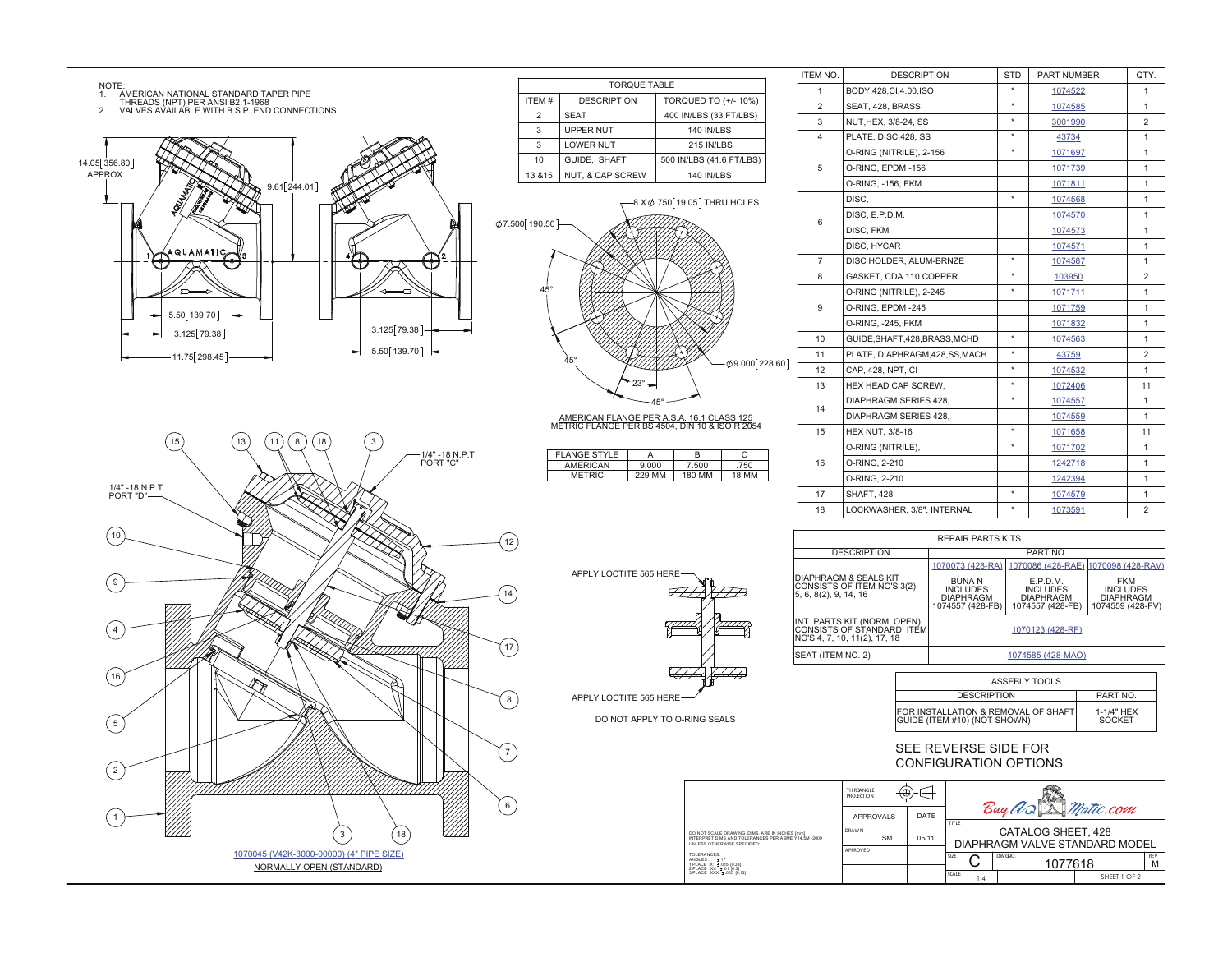